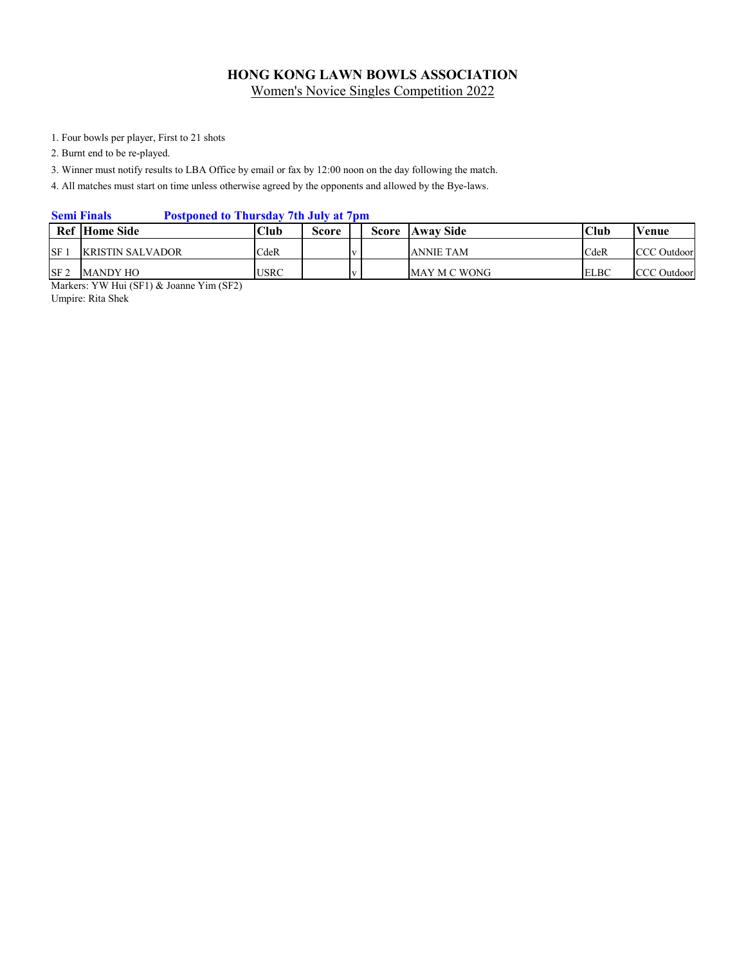1. Four bowls per player, First to 21 shots

2. Burnt end to be re-played.

3. Winner must notify results to LBA Office by email or fax by 12:00 noon on the day following the match.

4. All matches must start on time unless otherwise agreed by the opponents and allowed by the Bye-laws.

## **Semi Finals Postponed to Thursday 7th July at 7pm**

|                 | <b>Ref</b> Home Side | Club        | Score |  | <b>Score</b> Away Side | Club        | Venue              |
|-----------------|----------------------|-------------|-------|--|------------------------|-------------|--------------------|
| <b>SF</b>       | IKRISTIN SALVADOR-   | CdeR        |       |  | <b>ANNIE TAM</b>       | CdeR        | <b>CCC</b> Outdoor |
| SF <sub>2</sub> | <b>MANDY HO</b>      | <b>USRC</b> |       |  | MAY M C WONG           | <b>ELBC</b> | <b>CCC</b> Outdoor |

Markers: YW Hui (SF1) & Joanne Yim (SF2) Umpire: Rita Shek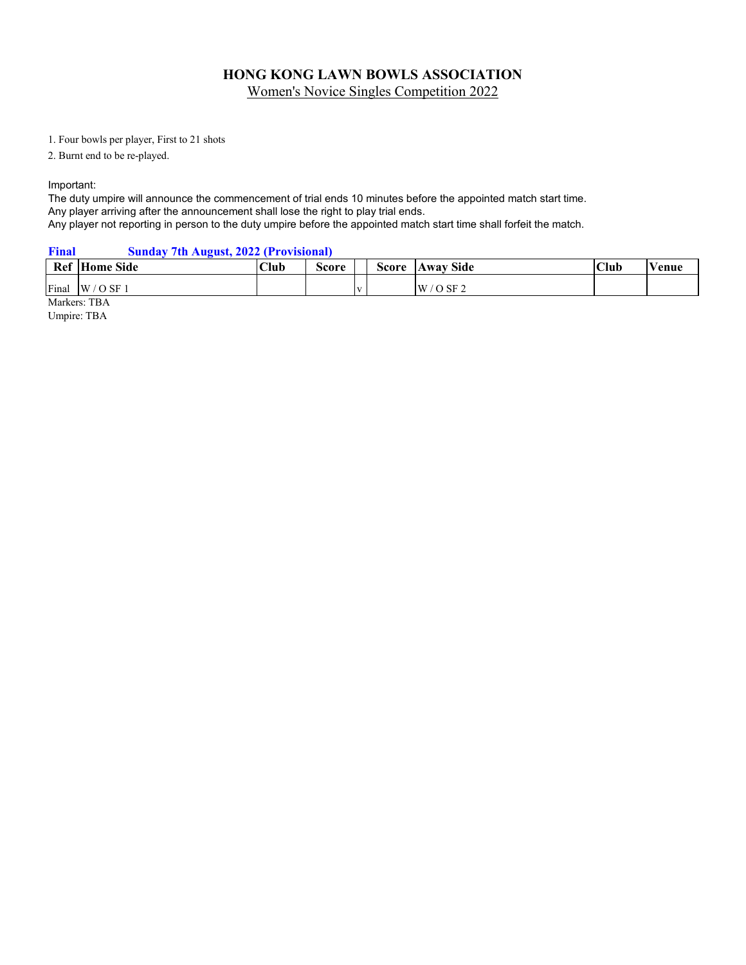# **HONG KONG LAWN BOWLS ASSOCIATION**

Women's Novice Singles Competition 2022

1. Four bowls per player, First to 21 shots

2. Burnt end to be re-played.

Important:

The duty umpire will announce the commencement of trial ends 10 minutes before the appointed match start time. Any player arriving after the announcement shall lose the right to play trial ends. Any player not reporting in person to the duty umpire before the appointed match start time shall forfeit the match.

**Final Sunday 7th August, 2022 (Provisional)**

|       | <b>Ref</b> Home Side | <b>Club</b> | $\sim$<br>Score |     | Score | <b>Away Side</b>   | Club | ′enue |
|-------|----------------------|-------------|-----------------|-----|-------|--------------------|------|-------|
| Final | W<br>O SF            |             |                 | . . |       | $O$ SF 2<br>W<br>ັ |      |       |

Markers: TBA

Umpire: TBA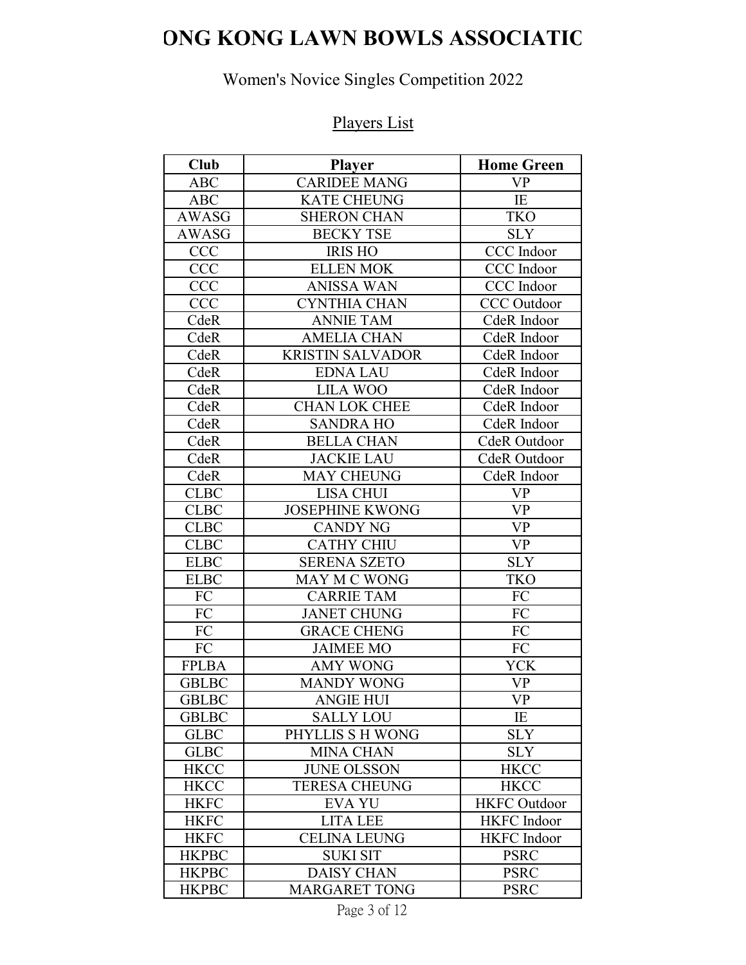# **ONG KONG LAWN BOWLS ASSOCIATIO**

# Women's Novice Singles Competition 2022

# Players List

| Club         | <b>Player</b>           | <b>Home Green</b>                                |
|--------------|-------------------------|--------------------------------------------------|
| <b>ABC</b>   | <b>CARIDEE MANG</b>     | <b>VP</b>                                        |
| <b>ABC</b>   | <b>KATE CHEUNG</b>      | IE                                               |
| <b>AWASG</b> | <b>SHERON CHAN</b>      | <b>TKO</b>                                       |
| AWASG        | <b>BECKY TSE</b>        | <b>SLY</b>                                       |
| <b>CCC</b>   | <b>IRIS HO</b>          | CCC Indoor                                       |
| <b>CCC</b>   | <b>ELLEN MOK</b>        | CCC Indoor                                       |
| <b>CCC</b>   | <b>ANISSA WAN</b>       | CCC Indoor                                       |
| <b>CCC</b>   | <b>CYNTHIA CHAN</b>     | <b>CCC</b> Outdoor                               |
| CdeR         | <b>ANNIE TAM</b>        | CdeR Indoor                                      |
| CdeR         | <b>AMELIA CHAN</b>      | CdeR Indoor                                      |
| CdeR         | <b>KRISTIN SALVADOR</b> | CdeR Indoor                                      |
| CdeR         | <b>EDNA LAU</b>         | CdeR Indoor                                      |
| CdeR         | <b>LILA WOO</b>         | CdeR Indoor                                      |
| CdeR         | <b>CHAN LOK CHEE</b>    | CdeR Indoor                                      |
| CdeR         | <b>SANDRA HO</b>        | CdeR Indoor                                      |
| CdeR         | <b>BELLA CHAN</b>       | CdeR Outdoor                                     |
| CdeR         | <b>JACKIE LAU</b>       | CdeR Outdoor                                     |
| CdeR         | <b>MAY CHEUNG</b>       | CdeR Indoor                                      |
| <b>CLBC</b>  | <b>LISA CHUI</b>        | <b>VP</b>                                        |
| <b>CLBC</b>  | <b>JOSEPHINE KWONG</b>  | <b>VP</b>                                        |
| <b>CLBC</b>  | <b>CANDY NG</b>         | <b>VP</b>                                        |
| <b>CLBC</b>  | <b>CATHY CHIU</b>       | <b>VP</b>                                        |
| <b>ELBC</b>  | <b>SERENA SZETO</b>     | <b>SLY</b>                                       |
| <b>ELBC</b>  | <b>MAY M C WONG</b>     | <b>TKO</b>                                       |
| FC           | <b>CARRIE TAM</b>       | FC                                               |
| FC           | <b>JANET CHUNG</b>      | FC                                               |
| <b>FC</b>    | <b>GRACE CHENG</b>      | FC                                               |
| FC           | <b>JAIMEE MO</b>        | FC                                               |
| <b>FPLBA</b> | <b>AMY WONG</b>         | <b>YCK</b>                                       |
| <b>GBLBC</b> | <b>MANDY WONG</b>       | <b>VP</b>                                        |
| <b>GBLBC</b> | <b>ANGIE HUI</b>        | $\ensuremath{\mathbf{V}}\ensuremath{\mathbf{P}}$ |
| <b>GBLBC</b> | <b>SALLY LOU</b>        | IE                                               |
| <b>GLBC</b>  | PHYLLIS S H WONG        | <b>SLY</b>                                       |
| <b>GLBC</b>  | <b>MINA CHAN</b>        | <b>SLY</b>                                       |
| <b>HKCC</b>  | <b>JUNE OLSSON</b>      | <b>HKCC</b>                                      |
| <b>HKCC</b>  | <b>TERESA CHEUNG</b>    | <b>HKCC</b>                                      |
| <b>HKFC</b>  | <b>EVA YU</b>           | <b>HKFC</b> Outdoor                              |
| <b>HKFC</b>  | <b>LITA LEE</b>         | <b>HKFC</b> Indoor                               |
| <b>HKFC</b>  | <b>CELINA LEUNG</b>     | HKFC Indoor                                      |
| <b>HKPBC</b> | <b>SUKI SIT</b>         | <b>PSRC</b>                                      |
| <b>HKPBC</b> | <b>DAISY CHAN</b>       | <b>PSRC</b>                                      |
| <b>HKPBC</b> | <b>MARGARET TONG</b>    | <b>PSRC</b>                                      |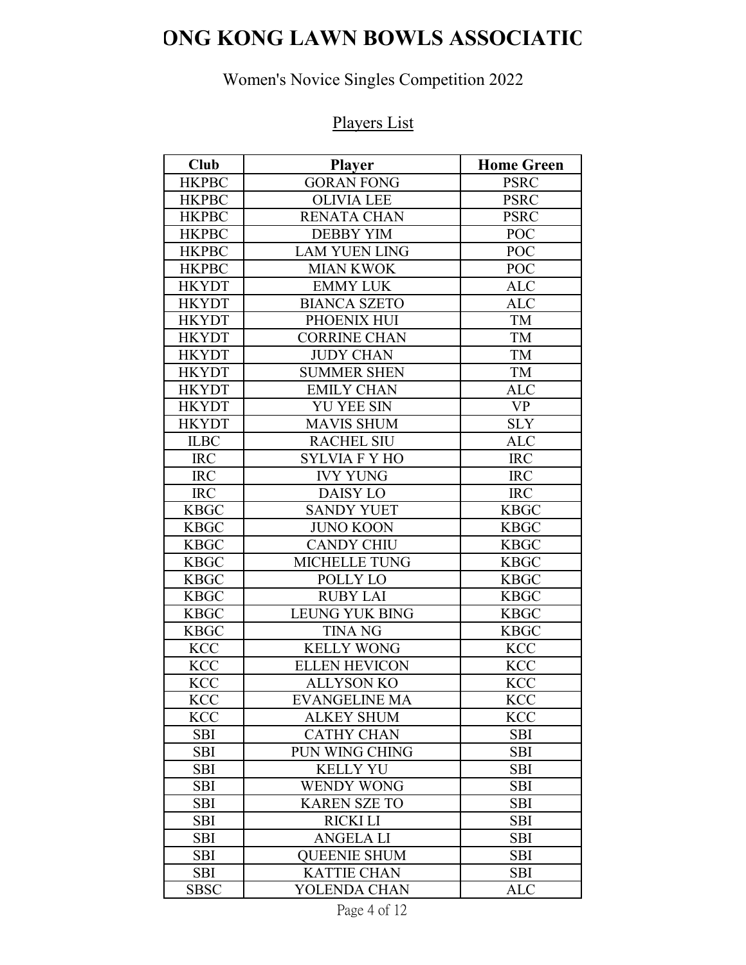# **ONG KONG LAWN BOWLS ASSOCIATIO**

# Women's Novice Singles Competition 2022

# Players List

| <b>Club</b>  | <b>Player</b>         | <b>Home Green</b> |
|--------------|-----------------------|-------------------|
| <b>HKPBC</b> | <b>GORAN FONG</b>     | <b>PSRC</b>       |
| <b>HKPBC</b> | <b>OLIVIA LEE</b>     | <b>PSRC</b>       |
| <b>HKPBC</b> | <b>RENATA CHAN</b>    | <b>PSRC</b>       |
| <b>HKPBC</b> | <b>DEBBY YIM</b>      | POC               |
| <b>HKPBC</b> | <b>LAM YUEN LING</b>  | POC               |
| <b>HKPBC</b> | <b>MIAN KWOK</b>      | POC               |
| <b>HKYDT</b> | <b>EMMY LUK</b>       | <b>ALC</b>        |
| <b>HKYDT</b> | <b>BIANCA SZETO</b>   | <b>ALC</b>        |
| <b>HKYDT</b> | PHOENIX HUI           | TM                |
| <b>HKYDT</b> | <b>CORRINE CHAN</b>   | TM                |
| <b>HKYDT</b> | <b>JUDY CHAN</b>      | TM                |
| <b>HKYDT</b> | <b>SUMMER SHEN</b>    | TM                |
| <b>HKYDT</b> | <b>EMILY CHAN</b>     | <b>ALC</b>        |
| <b>HKYDT</b> | <b>YU YEE SIN</b>     | <b>VP</b>         |
| <b>HKYDT</b> | <b>MAVIS SHUM</b>     | <b>SLY</b>        |
| <b>ILBC</b>  | <b>RACHEL SIU</b>     | <b>ALC</b>        |
| <b>IRC</b>   | <b>SYLVIA F Y HO</b>  | <b>IRC</b>        |
| <b>IRC</b>   | <b>IVY YUNG</b>       | <b>IRC</b>        |
| <b>IRC</b>   | <b>DAISY LO</b>       | <b>IRC</b>        |
| <b>KBGC</b>  | <b>SANDY YUET</b>     | <b>KBGC</b>       |
| <b>KBGC</b>  | <b>JUNO KOON</b>      | <b>KBGC</b>       |
| <b>KBGC</b>  | <b>CANDY CHIU</b>     | <b>KBGC</b>       |
| <b>KBGC</b>  | <b>MICHELLE TUNG</b>  | <b>KBGC</b>       |
| <b>KBGC</b>  | POLLY LO              | <b>KBGC</b>       |
| <b>KBGC</b>  | <b>RUBY LAI</b>       | <b>KBGC</b>       |
| <b>KBGC</b>  | <b>LEUNG YUK BING</b> | <b>KBGC</b>       |
| <b>KBGC</b>  | <b>TINA NG</b>        | <b>KBGC</b>       |
| <b>KCC</b>   | <b>KELLY WONG</b>     | <b>KCC</b>        |
| <b>KCC</b>   | <b>ELLEN HEVICON</b>  | <b>KCC</b>        |
| <b>KCC</b>   | <b>ALLYSON KO</b>     | <b>KCC</b>        |
| <b>KCC</b>   | <b>EVANGELINE MA</b>  | <b>KCC</b>        |
| KCC          | <b>ALKEY SHUM</b>     | <b>KCC</b>        |
| <b>SBI</b>   | <b>CATHY CHAN</b>     | <b>SBI</b>        |
| <b>SBI</b>   | PUN WING CHING        | <b>SBI</b>        |
| <b>SBI</b>   | <b>KELLY YU</b>       | <b>SBI</b>        |
| <b>SBI</b>   | <b>WENDY WONG</b>     | <b>SBI</b>        |
| <b>SBI</b>   | <b>KAREN SZE TO</b>   | <b>SBI</b>        |
| <b>SBI</b>   | <b>RICKI LI</b>       | <b>SBI</b>        |
| <b>SBI</b>   | <b>ANGELA LI</b>      | <b>SBI</b>        |
| <b>SBI</b>   | <b>OUEENIE SHUM</b>   | <b>SBI</b>        |
| <b>SBI</b>   | <b>KATTIE CHAN</b>    | <b>SBI</b>        |
| <b>SBSC</b>  | YOLENDA CHAN          | <b>ALC</b>        |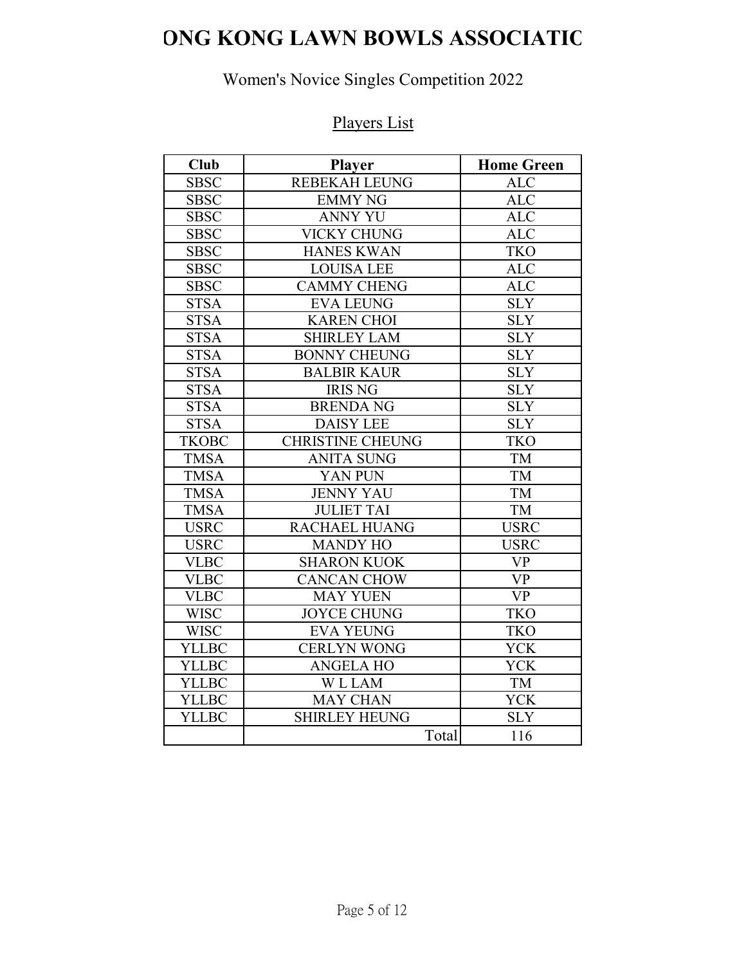# **ONG KONG LAWN BOWLS ASSOCIATIO**

# Women's Novice Singles Competition 2022

# Players List

| <b>Club</b>  | <b>Player</b>           | <b>Home Green</b> |
|--------------|-------------------------|-------------------|
| <b>SBSC</b>  | <b>REBEKAH LEUNG</b>    | <b>ALC</b>        |
| <b>SBSC</b>  | <b>EMMY NG</b>          | <b>ALC</b>        |
| <b>SBSC</b>  | <b>ANNY YU</b>          | <b>ALC</b>        |
| <b>SBSC</b>  | <b>VICKY CHUNG</b>      | <b>ALC</b>        |
| <b>SBSC</b>  | <b>HANES KWAN</b>       | <b>TKO</b>        |
| <b>SBSC</b>  | <b>LOUISA LEE</b>       | <b>ALC</b>        |
| <b>SBSC</b>  | <b>CAMMY CHENG</b>      | <b>ALC</b>        |
| <b>STSA</b>  | <b>EVA LEUNG</b>        | <b>SLY</b>        |
| <b>STSA</b>  | <b>KAREN CHOI</b>       | <b>SLY</b>        |
| <b>STSA</b>  | <b>SHIRLEY LAM</b>      | <b>SLY</b>        |
| <b>STSA</b>  | <b>BONNY CHEUNG</b>     | <b>SLY</b>        |
| <b>STSA</b>  | <b>BALBIR KAUR</b>      | <b>SLY</b>        |
| <b>STSA</b>  | <b>IRIS NG</b>          | <b>SLY</b>        |
| <b>STSA</b>  | <b>BRENDA NG</b>        | <b>SLY</b>        |
| <b>STSA</b>  | <b>DAISY LEE</b>        | <b>SLY</b>        |
| <b>TKOBC</b> | <b>CHRISTINE CHEUNG</b> | <b>TKO</b>        |
| <b>TMSA</b>  | <b>ANITA SUNG</b>       | TM                |
| <b>TMSA</b>  | YAN PUN                 | TM                |
| <b>TMSA</b>  | <b>JENNY YAU</b>        | <b>TM</b>         |
| <b>TMSA</b>  | <b>JULIET TAI</b>       | TM                |
| <b>USRC</b>  | <b>RACHAEL HUANG</b>    | <b>USRC</b>       |
| <b>USRC</b>  | <b>MANDY HO</b>         | <b>USRC</b>       |
| <b>VLBC</b>  | <b>SHARON KUOK</b>      | <b>VP</b>         |
| <b>VLBC</b>  | <b>CANCAN CHOW</b>      | <b>VP</b>         |
| <b>VLBC</b>  | <b>MAY YUEN</b>         | <b>VP</b>         |
| <b>WISC</b>  | <b>JOYCE CHUNG</b>      | <b>TKO</b>        |
| <b>WISC</b>  | <b>EVA YEUNG</b>        | <b>TKO</b>        |
| <b>YLLBC</b> | <b>CERLYN WONG</b>      | <b>YCK</b>        |
| <b>YLLBC</b> | <b>ANGELA HO</b>        | YCK               |
| <b>YLLBC</b> | <b>WLLAM</b>            | TM                |
| <b>YLLBC</b> | <b>MAY CHAN</b>         | <b>YCK</b>        |
| <b>YLLBC</b> | <b>SHIRLEY HEUNG</b>    | <b>SLY</b>        |
|              | Total                   | 116               |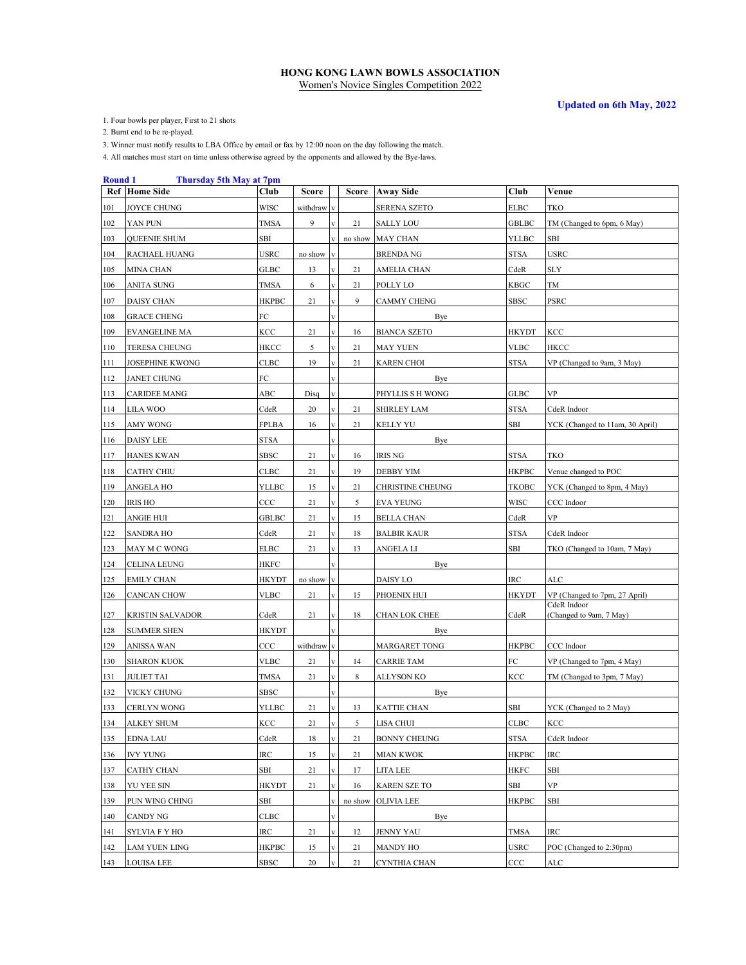**Updated on 6th May, 2022**

1. Four bowls per player, First to 21 shots

2. Burnt end to be re-played.

3. Winner must notify results to LBA Office by email or fax by 12:00 noon on the day following the match.

4. All matches must start on time unless otherwise agreed by the opponents and allowed by the Bye-laws.

#### **Round 1 Thursday 5th May at 7pm**

|     | <b>Ref</b> Home Side   | Club         | Score      |                         |         | Score Away Side     | Club         | Venue                                  |
|-----|------------------------|--------------|------------|-------------------------|---------|---------------------|--------------|----------------------------------------|
| 101 | <b>JOYCE CHUNG</b>     | WISC         | withdraw v |                         |         | <b>SERENA SZETO</b> | <b>ELBC</b>  | <b>TKO</b>                             |
| 102 | YAN PUN                | <b>TMSA</b>  | 9          |                         | 21      | <b>SALLY LOU</b>    | <b>GBLBC</b> | TM (Changed to 6pm, 6 May)             |
| 103 | <b>QUEENIE SHUM</b>    | SBI          |            |                         | no show | <b>MAY CHAN</b>     | <b>YLLBC</b> | SBI                                    |
| 104 | RACHAEL HUANG          | USRC         | no show v  |                         |         | <b>BRENDA NG</b>    | <b>STSA</b>  | <b>USRC</b>                            |
| 105 | <b>MINA CHAN</b>       | GLBC         | 13         |                         | 21      | AMELIA CHAN         | CdeR         | <b>SLY</b>                             |
| 106 | ANITA SUNG             | <b>TMSA</b>  | 6          | $\overline{\mathbf{v}}$ | 21      | POLLY LO            | <b>KBGC</b>  | TM                                     |
| 107 | DAISY CHAN             | <b>HKPBC</b> | 21         | V                       | 9       | CAMMY CHENG         | <b>SBSC</b>  | <b>PSRC</b>                            |
| 108 | <b>GRACE CHENG</b>     | FC           |            |                         |         | Bye                 |              |                                        |
| 109 | EVANGELINE MA          | KCC          | 21         | $\mathbf{v}$            | 16      | <b>BIANCA SZETO</b> | <b>HKYDT</b> | <b>KCC</b>                             |
| 110 | <b>TERESA CHEUNG</b>   | HKCC         | 5          | $\mathbf{v}$            | 21      | MAY YUEN            | <b>VLBC</b>  | <b>HKCC</b>                            |
| 111 | <b>JOSEPHINE KWONG</b> | CLBC         | 19         |                         | 21      | KAREN CHOI          | <b>STSA</b>  | VP (Changed to 9am, 3 May)             |
| 112 | JANET CHUNG            | FС           |            |                         |         | Bye                 |              |                                        |
| 113 | <b>CARIDEE MANG</b>    | ABC          | Disq       |                         |         | PHYLLIS S H WONG    | <b>GLBC</b>  | <b>VP</b>                              |
| 114 | LILA WOO               | CdeR         | 20         | $\mathbf{V}$            | 21      | <b>SHIRLEY LAM</b>  | <b>STSA</b>  | CdeR Indoor                            |
| 115 | <b>AMY WONG</b>        | FPLBA        | 16         | $\mathbf{V}$            | 21      | KELLY YU            | <b>SBI</b>   | YCK (Changed to 11am, 30 April)        |
| 116 | DAISY LEE              | STSA         |            | $\mathbf{V}$            |         | Bye                 |              |                                        |
| 117 | <b>HANES KWAN</b>      | SBSC         | 21         | $\mathbf{v}$            | 16      | IRIS NG             | <b>STSA</b>  | <b>TKO</b>                             |
| 118 | <b>CATHY CHIU</b>      | CLBC         | 21         | $\mathbf{v}$            | 19      | DEBBY YIM           | <b>HKPBC</b> | Venue changed to POC                   |
| 119 | <b>ANGELA HO</b>       | <b>YLLBC</b> | 15         | $\mathbf{v}$            | 21      | CHRISTINE CHEUNG    | <b>TKOBC</b> | YCK (Changed to 8pm, 4 May)            |
| 120 | <b>IRIS HO</b>         | CCC          | 21         | $\mathbf{V}$            | 5       | <b>EVA YEUNG</b>    | <b>WISC</b>  | CCC Indoor                             |
| 121 | <b>ANGIE HUI</b>       | GBLBC        | 21         | $\mathbf{V}$            | 15      | <b>BELLA CHAN</b>   | CdeR         | <b>VP</b>                              |
| 122 | <b>SANDRA HO</b>       | CdeR         | 21         | $\mathbf{V}$            | 18      | BALBIR KAUR         | <b>STSA</b>  | CdeR Indoor                            |
| 123 | MAY M C WONG           | <b>ELBC</b>  | 21         | $\mathbf{V}$            | 13      | ANGELA LI           | SBI          | TKO (Changed to 10am, 7 May)           |
| 124 | CELINA LEUNG           | HKFC         |            |                         |         | Bye                 |              |                                        |
| 125 | <b>EMILY CHAN</b>      | HKYDT        | no show    | l v                     |         | DAISY LO            | <b>IRC</b>   | ALC                                    |
| 126 | CANCAN CHOW            | VLBC         | 21         | $\mathbf{v}$            | 15      | PHOENIX HUI         | <b>HKYDT</b> | VP (Changed to 7pm, 27 April)          |
| 127 | KRISTIN SALVADOR       | CdeR         | 21         | V                       | 18      | CHAN LOK CHEE       | CdeR         | CdeR Indoor<br>(Changed to 9am, 7 May) |
| 128 | <b>SUMMER SHEN</b>     | HKYDT        |            |                         |         | Bye                 |              |                                        |
| 129 | ANISSA WAN             | $_{\rm CCC}$ | withdraw v |                         |         | MARGARET TONG       | <b>HKPBC</b> | CCC Indoor                             |
| 130 | <b>SHARON KUOK</b>     | VLBC         | 21         | $\mathbf{V}$            | 14      | <b>CARRIE TAM</b>   | FC           | VP (Changed to 7pm, 4 May)             |
| 131 | <b>JULIET TAI</b>      | <b>TMSA</b>  | 21         | $\mathbf{V}$            | 8       | ALLYSON KO          | KCC          | TM (Changed to 3pm, 7 May)             |
| 132 | VICKY CHUNG            | SBSC         |            |                         |         | Bye                 |              |                                        |
| 133 | CERLYN WONG            | YLLBC        | 21         | $\mathbf{V}$            | 13      | KATTIE CHAN         | <b>SBI</b>   | YCK (Changed to 2 May)                 |
| 134 | ALKEY SHUM             | KCC          | 21         |                         | 5       | LISA CHUI           | <b>CLBC</b>  | KCC                                    |
| 135 | <b>EDNA LAU</b>        | CdeR         | 18         | $\mathbf{V}$            | 21      | <b>BONNY CHEUNG</b> | <b>STSA</b>  | CdeR Indoor                            |
| 136 | IVY YUNG               | IRC          | 15         | $\mathbf{V}$            | 21      | MIAN KWOK           | <b>HKPBC</b> | IRC                                    |
| 137 | CATHY CHAN             | SBI          | 21         | $\mathbf{V}$            | 17      | LITA LEE            | HKFC         | SBI                                    |
| 138 | YU YEE SIN             | <b>HKYDT</b> | 21         | $\mathbf{v}$            | 16      | <b>KAREN SZE TO</b> | SBI          | <b>VP</b>                              |
| 139 | PUN WING CHING         | SBI          |            |                         | no show | <b>OLIVIA LEE</b>   | <b>HKPBC</b> | SBI                                    |
| 140 | CANDY NG               | <b>CLBC</b>  |            | V                       |         | Bye                 |              |                                        |
| 141 | SYLVIA F Y HO          | IRC          | 21         | $\mathbf{V}$            | 12      | JENNY YAU           | TMSA         | IRC                                    |
| 142 | LAM YUEN LING          | НКРВС        | 15         |                         | 21      | MANDY HO            | USRC         | POC (Changed to 2:30pm)                |
| 143 | LOUISA LEE             | SBSC         | 20         |                         | 21      | CYNTHIA CHAN        | CCC          | ALC                                    |
|     |                        |              |            |                         |         |                     |              |                                        |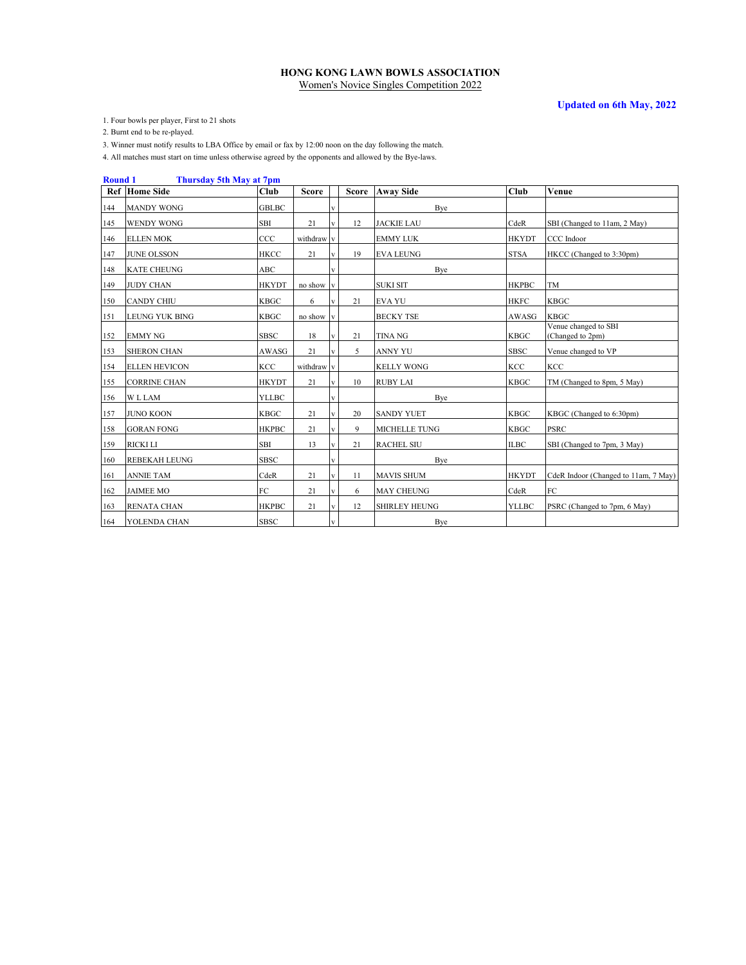**Updated on 6th May, 2022**

1. Four bowls per player, First to 21 shots

2. Burnt end to be re-played.

3. Winner must notify results to LBA Office by email or fax by 12:00 noon on the day following the match.

4. All matches must start on time unless otherwise agreed by the opponents and allowed by the Bye-laws.

#### **Round 1 Thursday 5th May at 7pm**

|     | <b>Ref</b> Home Side | Club         | <b>Score</b> |                         |    | Score Away Side      | Club         | Venue                                    |
|-----|----------------------|--------------|--------------|-------------------------|----|----------------------|--------------|------------------------------------------|
| 144 | <b>MANDY WONG</b>    | <b>GBLBC</b> |              |                         |    | Bye                  |              |                                          |
| 145 | <b>WENDY WONG</b>    | <b>SBI</b>   | 21           |                         | 12 | <b>JACKIE LAU</b>    | CdeR         | SBI (Changed to 11am, 2 May)             |
| 146 | <b>ELLEN MOK</b>     | CCC          | withdraw v   |                         |    | <b>EMMY LUK</b>      | <b>HKYDT</b> | CCC Indoor                               |
| 147 | <b>JUNE OLSSON</b>   | <b>HKCC</b>  | 21           | $\overline{\mathbf{V}}$ | 19 | <b>EVA LEUNG</b>     | <b>STSA</b>  | HKCC (Changed to 3:30pm)                 |
| 148 | <b>KATE CHEUNG</b>   | ABC          |              | $\mathbf v$             |    | Bye                  |              |                                          |
| 149 | <b>JUDY CHAN</b>     | <b>HKYDT</b> | no show      | $\bf{V}$                |    | <b>SUKI SIT</b>      | <b>HKPBC</b> | TM                                       |
| 150 | <b>CANDY CHIU</b>    | <b>KBGC</b>  | 6            | v                       | 21 | <b>EVA YU</b>        | <b>HKFC</b>  | <b>KBGC</b>                              |
| 151 | LEUNG YUK BING       | <b>KBGC</b>  | no show      | V                       |    | <b>BECKY TSE</b>     | AWASG        | <b>KBGC</b>                              |
| 152 | <b>EMMY NG</b>       | <b>SBSC</b>  | 18           | V                       | 21 | <b>TINA NG</b>       | <b>KBGC</b>  | Venue changed to SBI<br>(Changed to 2pm) |
| 153 | <b>SHERON CHAN</b>   | AWASG        | 21           |                         | 5  | <b>ANNY YU</b>       | <b>SBSC</b>  | Venue changed to VP                      |
| 154 | <b>ELLEN HEVICON</b> | KCC          | withdraw v   |                         |    | <b>KELLY WONG</b>    | KCC          | <b>KCC</b>                               |
| 155 | <b>CORRINE CHAN</b>  | <b>HKYDT</b> | 21           | $\mathbf{v}$            | 10 | <b>RUBY LAI</b>      | <b>KBGC</b>  | TM (Changed to 8pm, 5 May)               |
| 156 | <b>WLLAM</b>         | <b>YLLBC</b> |              | v                       |    | Bye                  |              |                                          |
| 157 | <b>JUNO KOON</b>     | KBGC         | 21           | $\mathbf v$             | 20 | <b>SANDY YUET</b>    | <b>KBGC</b>  | KBGC (Changed to 6:30pm)                 |
| 158 | <b>GORAN FONG</b>    | <b>HKPBC</b> | 21           | V                       | 9  | <b>MICHELLE TUNG</b> | <b>KBGC</b>  | <b>PSRC</b>                              |
| 159 | <b>RICKI LI</b>      | <b>SBI</b>   | 13           | $\mathbf{V}$            | 21 | <b>RACHEL SIU</b>    | <b>ILBC</b>  | SBI (Changed to 7pm, 3 May)              |
| 160 | <b>REBEKAH LEUNG</b> | <b>SBSC</b>  |              |                         |    | Bye                  |              |                                          |
| 161 | <b>ANNIE TAM</b>     | CdeR         | 21           | V                       | 11 | <b>MAVIS SHUM</b>    | <b>HKYDT</b> | CdeR Indoor (Changed to 11am, 7 May)     |
| 162 | <b>JAIMEE MO</b>     | FC           | 21           | $\mathbf{V}$            | 6  | <b>MAY CHEUNG</b>    | CdeR         | FC                                       |
| 163 | RENATA CHAN          | <b>HKPBC</b> | 21           | $\mathbf{V}$            | 12 | <b>SHIRLEY HEUNG</b> | <b>YLLBC</b> | PSRC (Changed to 7pm, 6 May)             |
| 164 | YOLENDA CHAN         | <b>SBSC</b>  |              |                         |    | Bye                  |              |                                          |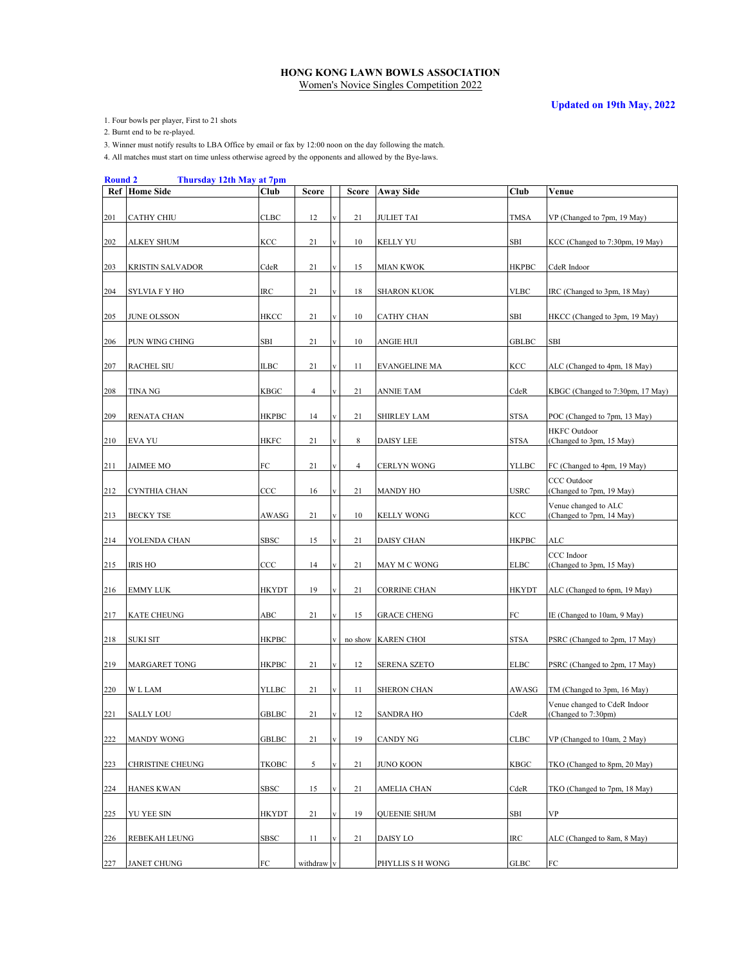**Updated on 19th May, 2022**

1. Four bowls per player, First to 21 shots

2. Burnt end to be re-played.

3. Winner must notify results to LBA Office by email or fax by 12:00 noon on the day following the match.

4. All matches must start on time unless otherwise agreed by the opponents and allowed by the Bye-laws.

#### **Round 2 Thursday 12th May at 7pm**

|     | <b>Ref</b> Home Side    | Club         | Score          |                         | Score          | <b>Away Side</b>     | Club         | Venue                                               |
|-----|-------------------------|--------------|----------------|-------------------------|----------------|----------------------|--------------|-----------------------------------------------------|
| 201 | CATHY CHIU              | <b>CLBC</b>  | 12             | $\mathbf{v}$            | 21             | <b>JULIET TAI</b>    | <b>TMSA</b>  | VP (Changed to 7pm, 19 May)                         |
| 202 | ALKEY SHUM              | KCC          | 21             | $\mathbf{V}$            | 10             | KELLY YU             | <b>SBI</b>   | KCC (Changed to 7:30pm, 19 May)                     |
| 203 | <b>KRISTIN SALVADOR</b> | CdeR         | 21             | $\mathbf{v}$            | 15             | <b>MIAN KWOK</b>     | <b>HKPBC</b> | CdeR Indoor                                         |
| 204 | SYLVIA F Y HO           | <b>IRC</b>   | 21             | $\overline{\mathbf{V}}$ | 18             | <b>SHARON KUOK</b>   | <b>VLBC</b>  | IRC (Changed to 3pm, 18 May)                        |
| 205 | <b>JUNE OLSSON</b>      | <b>HKCC</b>  | 21             | $\mathbf{V}$            | 10             | CATHY CHAN           | SBI          | HKCC (Changed to 3pm, 19 May)                       |
| 206 | PUN WING CHING          | SBI          | 21             | $\mathbf{V}$            | 10             | ANGIE HUI            | <b>GBLBC</b> | SBI                                                 |
| 207 | <b>RACHEL SIU</b>       | ILBC         | 21             | $\mathbf{v}$            | 11             | <b>EVANGELINE MA</b> | KCC          | ALC (Changed to 4pm, 18 May)                        |
| 208 | <b>TINA NG</b>          | <b>KBGC</b>  | $\overline{4}$ |                         | 21             | <b>ANNIE TAM</b>     | CdeR         | KBGC (Changed to 7:30pm, 17 May)                    |
| 209 | <b>RENATA CHAN</b>      | <b>HKPBC</b> | 14             |                         | 21             | <b>SHIRLEY LAM</b>   | <b>STSA</b>  | POC (Changed to 7pm, 13 May)                        |
| 210 | <b>EVA YU</b>           | HKFC         | 21             | $\mathbf{V}$            | 8              | DAISY LEE            | <b>STSA</b>  | <b>HKFC</b> Outdoor<br>(Changed to 3pm, 15 May)     |
| 211 | <b>JAIMEE MO</b>        | FC           | 21             | $\mathbf{v}$            | $\overline{4}$ | CERLYN WONG          | <b>YLLBC</b> | FC (Changed to 4pm, 19 May)                         |
| 212 | CYNTHIA CHAN            | CCC          | 16             | $\mathbf{V}$            | 21             | MANDY HO             | <b>USRC</b>  | CCC Outdoor<br>(Changed to 7pm, 19 May)             |
| 213 | <b>BECKY TSE</b>        | AWASG        | 21             |                         | 10             | <b>KELLY WONG</b>    | KCC          | Venue changed to ALC<br>(Changed to 7pm, 14 May)    |
| 214 | YOLENDA CHAN            | <b>SBSC</b>  | 15             | $\overline{\mathbf{V}}$ | 21             | DAISY CHAN           | <b>HKPBC</b> | ALC                                                 |
| 215 | <b>IRIS HO</b>          | CCC          | 14             | $\mathbf{v}$            | 21             | MAY M C WONG         | <b>ELBC</b>  | CCC Indoor<br>(Changed to 3pm, 15 May)              |
| 216 | <b>EMMY LUK</b>         | <b>HKYDT</b> | 19             | $\mathbf{V}$            | 21             | <b>CORRINE CHAN</b>  | HKYDT        | ALC (Changed to 6pm, 19 May)                        |
| 217 | <b>KATE CHEUNG</b>      | ABC          | 21             | $\mathbf{v}$            | 15             | <b>GRACE CHENG</b>   | ${\rm FC}$   | IE (Changed to 10am, 9 May)                         |
| 218 | SUKI SIT                | <b>HKPBC</b> |                | $\mathbf{v}$            |                | no show KAREN CHOI   | <b>STSA</b>  | PSRC (Changed to 2pm, 17 May)                       |
| 219 | <b>MARGARET TONG</b>    | HKPBC        | 21             | $\mathbf{V}$            | 12             | <b>SERENA SZETO</b>  | <b>ELBC</b>  | PSRC (Changed to 2pm, 17 May)                       |
| 220 | <b>WLLAM</b>            | <b>YLLBC</b> | 21             | $\mathbf{V}$            | 11             | <b>SHERON CHAN</b>   | AWASG        | TM (Changed to 3pm, 16 May)                         |
| 221 | <b>SALLY LOU</b>        | <b>GBLBC</b> | 21             |                         | 12             | <b>SANDRA HO</b>     | CdeR         | Venue changed to CdeR Indoor<br>(Changed to 7:30pm) |
| 222 | <b>MANDY WONG</b>       | GBLBC        | 21             | $\mathbf{V}$            | 19             | CANDY NG             | <b>CLBC</b>  | VP (Changed to 10am, 2 May)                         |
| 223 | CHRISTINE CHEUNG        | ТКОВС        | 5              |                         | 21             | JUNO KOON            | <b>KBGC</b>  | TKO (Changed to 8pm, 20 May)                        |
| 224 | <b>HANES KWAN</b>       | SBSC         | 15             |                         | 21             | AMELIA CHAN          | CdeR         | TKO (Changed to 7pm, 18 May)                        |
| 225 | YU YEE SIN              | HKYDT        | 21             | $\mathbf{v}$            | 19             | <b>QUEENIE SHUM</b>  | SBI          | VP                                                  |
| 226 | REBEKAH LEUNG           | SBSC         | 11             |                         | 21             | DAISY LO             | IRC          | ALC (Changed to 8am, 8 May)                         |
| 227 | JANET CHUNG             | FC           | withdraw       |                         |                | PHYLLIS S H WONG     | GLBC         | FC                                                  |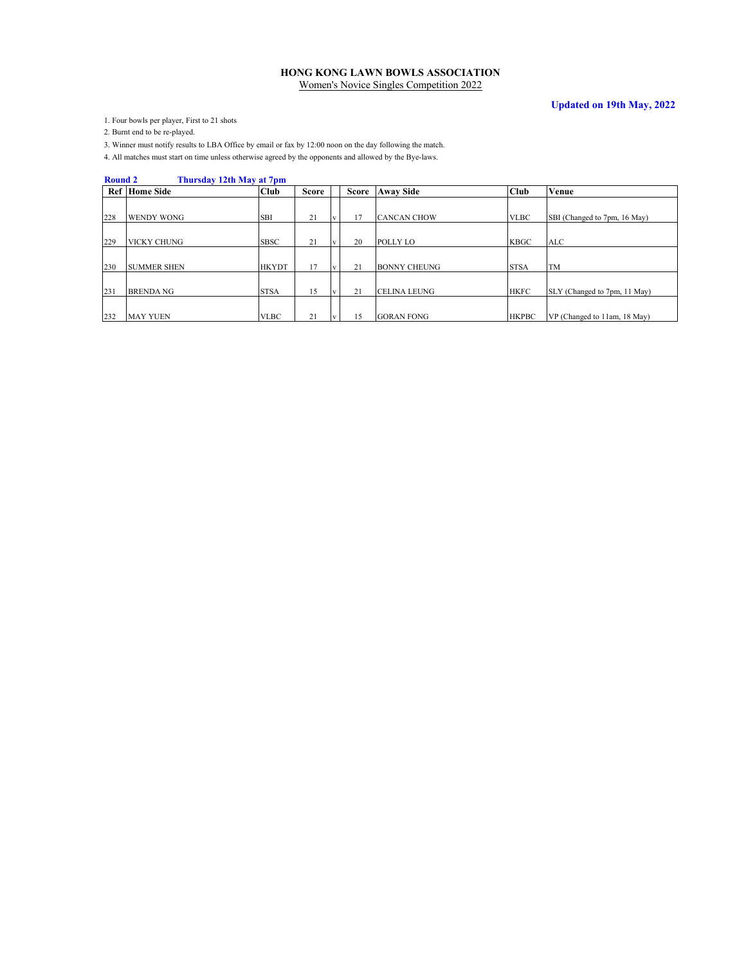### **Updated on 19th May, 2022**

1. Four bowls per player, First to 21 shots

2. Burnt end to be re-played.

3. Winner must notify results to LBA Office by email or fax by 12:00 noon on the day following the match.

4. All matches must start on time unless otherwise agreed by the opponents and allowed by the Bye-laws.

#### **Round 2 Thursday 12th May at 7pm**

|     | <b>Ref</b> Home Side | Club         | <b>Score</b> |                         | <b>Score</b> | <b>Away Side</b>    | <b>Club</b>  | Venue                        |
|-----|----------------------|--------------|--------------|-------------------------|--------------|---------------------|--------------|------------------------------|
|     |                      |              |              |                         |              |                     |              |                              |
| 228 | <b>WENDY WONG</b>    | <b>SBI</b>   | 21           | V                       |              | <b>CANCAN CHOW</b>  | <b>VLBC</b>  | SBI (Changed to 7pm, 16 May) |
|     |                      |              |              |                         |              |                     |              |                              |
| 229 | <b>VICKY CHUNG</b>   | <b>SBSC</b>  | 21           | $\mathbf{I} \mathbf{v}$ | 20           | <b>POLLY LO</b>     | <b>KBGC</b>  | ALC                          |
|     |                      |              |              |                         |              |                     |              |                              |
| 230 | <b>SUMMER SHEN</b>   | <b>HKYDT</b> | 17           | l v                     | 21           | <b>BONNY CHEUNG</b> | <b>STSA</b>  | TM                           |
|     |                      |              |              |                         |              |                     |              |                              |
| 231 | <b>BRENDA NG</b>     | <b>STSA</b>  | 15           | v                       | 21           | <b>CELINA LEUNG</b> | <b>HKFC</b>  | SLY (Changed to 7pm, 11 May) |
|     |                      |              |              |                         |              |                     |              |                              |
| 232 | <b>MAY YUEN</b>      | <b>VLBC</b>  | 21           | $\mathbf{v}$            | 15           | <b>GORAN FONG</b>   | <b>HKPBC</b> | VP (Changed to 11am, 18 May) |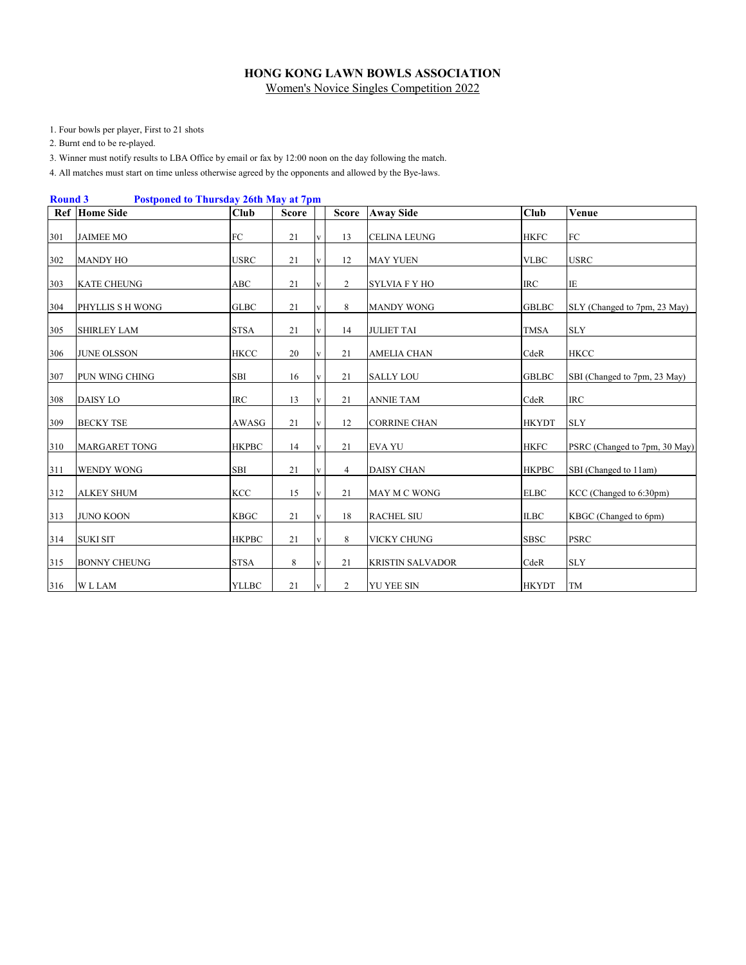1. Four bowls per player, First to 21 shots

2. Burnt end to be re-played.

3. Winner must notify results to LBA Office by email or fax by 12:00 noon on the day following the match.

4. All matches must start on time unless otherwise agreed by the opponents and allowed by the Bye-laws.

| <b>Round 3</b> |                     | <b>Postponed to Thursday 26th May at 7pm</b> |              |              |                |                         |              |                               |
|----------------|---------------------|----------------------------------------------|--------------|--------------|----------------|-------------------------|--------------|-------------------------------|
|                | Ref Home Side       | Club                                         | <b>Score</b> |              | <b>Score</b>   | <b>Away Side</b>        | Club         | Venue                         |
| 301            | <b>JAIMEE MO</b>    | FC                                           | 21           | $\mathbf{V}$ | 13             | <b>CELINA LEUNG</b>     | <b>HKFC</b>  | ${\rm FC}$                    |
| 302            | <b>MANDY HO</b>     | <b>USRC</b>                                  | 21           | $\mathbf{V}$ | 12             | <b>MAY YUEN</b>         | <b>VLBC</b>  | <b>USRC</b>                   |
| 303            | <b>KATE CHEUNG</b>  | ABC                                          | 21           | V            | 2              | <b>SYLVIA F Y HO</b>    | <b>IRC</b>   | $\rm I\!E$                    |
| 304            | PHYLLIS S H WONG    | <b>GLBC</b>                                  | 21           | V            | 8              | <b>MANDY WONG</b>       | <b>GBLBC</b> | SLY (Changed to 7pm, 23 May)  |
| 305            | <b>SHIRLEY LAM</b>  | <b>STSA</b>                                  | 21           | v            | 14             | <b>JULIET TAI</b>       | <b>TMSA</b>  | <b>SLY</b>                    |
| 306            | <b>JUNE OLSSON</b>  | <b>HKCC</b>                                  | 20           | v            | 21             | <b>AMELIA CHAN</b>      | CdeR         | <b>HKCC</b>                   |
| 307            | PUN WING CHING      | <b>SBI</b>                                   | 16           | $\mathbf{V}$ | 21             | <b>SALLY LOU</b>        | <b>GBLBC</b> | SBI (Changed to 7pm, 23 May)  |
| 308            | <b>DAISY LO</b>     | <b>IRC</b>                                   | 13           | V            | 21             | <b>ANNIE TAM</b>        | CdeR         | <b>IRC</b>                    |
| 309            | <b>BECKY TSE</b>    | AWASG                                        | 21           | $\mathbf{V}$ | 12             | <b>CORRINE CHAN</b>     | <b>HKYDT</b> | <b>SLY</b>                    |
| 310            | MARGARET TONG       | <b>HKPBC</b>                                 | 14           | V            | 21             | <b>EVA YU</b>           | <b>HKFC</b>  | PSRC (Changed to 7pm, 30 May) |
| 311            | <b>WENDY WONG</b>   | <b>SBI</b>                                   | 21           | V            | $\overline{4}$ | <b>DAISY CHAN</b>       | <b>HKPBC</b> | SBI (Changed to 11am)         |
| 312            | <b>ALKEY SHUM</b>   | <b>KCC</b>                                   | 15           | $\mathbf{V}$ | 21             | <b>MAY M C WONG</b>     | <b>ELBC</b>  | KCC (Changed to 6:30pm)       |
| 313            | <b>JUNO KOON</b>    | <b>KBGC</b>                                  | 21           | $\mathbf{V}$ | 18             | <b>RACHEL SIU</b>       | <b>ILBC</b>  | KBGC (Changed to 6pm)         |
| 314            | <b>SUKI SIT</b>     | <b>HKPBC</b>                                 | 21           | V            | 8              | VICKY CHUNG             | <b>SBSC</b>  | <b>PSRC</b>                   |
| 315            | <b>BONNY CHEUNG</b> | <b>STSA</b>                                  | 8            | V            | 21             | <b>KRISTIN SALVADOR</b> | CdeR         | <b>SLY</b>                    |
| 316            | <b>WLLAM</b>        | <b>YLLBC</b>                                 | 21           | $\mathbf{V}$ | 2              | <b>YU YEE SIN</b>       | <b>HKYDT</b> | TM                            |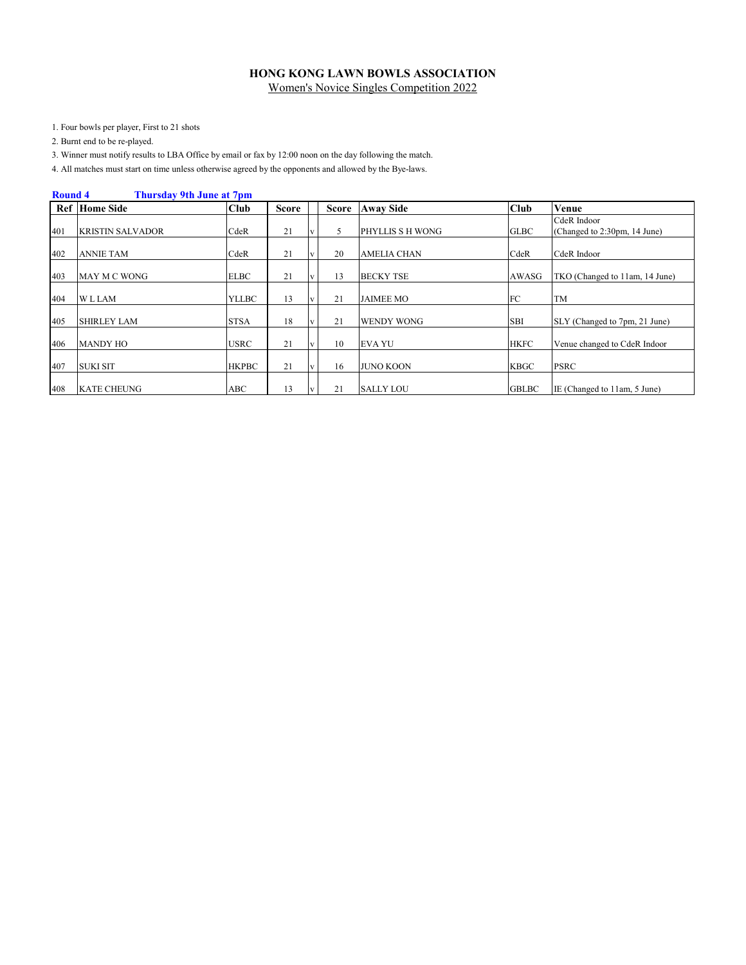1. Four bowls per player, First to 21 shots

2. Burnt end to be re-played.

3. Winner must notify results to LBA Office by email or fax by 12:00 noon on the day following the match.

4. All matches must start on time unless otherwise agreed by the opponents and allowed by the Bye-laws.

|     | <b>Round 4</b><br><b>Thursday 9th June at 7pm</b> |              |              |          |              |                    |              |                                |  |  |  |  |  |  |
|-----|---------------------------------------------------|--------------|--------------|----------|--------------|--------------------|--------------|--------------------------------|--|--|--|--|--|--|
|     | <b>Ref</b> Home Side                              | <b>Club</b>  | <b>Score</b> |          | <b>Score</b> | <b>Away Side</b>   | Club         | Venue                          |  |  |  |  |  |  |
|     |                                                   |              |              |          |              |                    |              | CdeR Indoor                    |  |  |  |  |  |  |
| 401 | <b>KRISTIN SALVADOR</b>                           | CdeR         | 21           |          | 5            | PHYLLIS S H WONG   | <b>GLBC</b>  | (Changed to 2:30pm, 14 June)   |  |  |  |  |  |  |
| 402 | <b>ANNIE TAM</b>                                  | CdeR         | 21           | V        | 20           | <b>AMELIA CHAN</b> | CdeR         | CdeR Indoor                    |  |  |  |  |  |  |
| 403 | MAY M C WONG                                      | <b>ELBC</b>  | 21           | V        | 13           | <b>BECKY TSE</b>   | AWASG        | TKO (Changed to 11am, 14 June) |  |  |  |  |  |  |
| 404 | <b>WLLAM</b>                                      | <b>YLLBC</b> | 13           | V        | 21           | <b>JAIMEE MO</b>   | FC           | <b>TM</b>                      |  |  |  |  |  |  |
| 405 | <b>SHIRLEY LAM</b>                                | <b>STSA</b>  | 18           | V        | 21           | <b>WENDY WONG</b>  | <b>SBI</b>   | SLY (Changed to 7pm, 21 June)  |  |  |  |  |  |  |
| 406 | <b>MANDY HO</b>                                   | <b>USRC</b>  | 21           | V        | 10           | <b>EVA YU</b>      | <b>HKFC</b>  | Venue changed to CdeR Indoor   |  |  |  |  |  |  |
| 407 | <b>SUKI SIT</b>                                   | <b>HKPBC</b> | 21           | <b>v</b> | 16           | <b>JUNO KOON</b>   | <b>KBGC</b>  | <b>PSRC</b>                    |  |  |  |  |  |  |
| 408 | <b>KATE CHEUNG</b>                                | ABC          | 13           |          | 21           | <b>SALLY LOU</b>   | <b>GBLBC</b> | IE (Changed to 11am, 5 June)   |  |  |  |  |  |  |